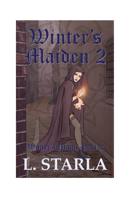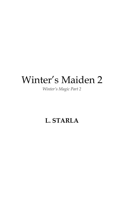# Winter's Maiden 2

*Winter's Magic Part 2*

### **L. STARLA**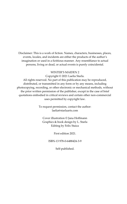Disclaimer: This is a work of fiction. Names, characters, businesses, places, events, locales, and incidents are either the products of the author's imagination or used in a fictitious manner. Any resemblance to actual persons, living or dead, or actual events is purely coincidental.

#### WINTER'S MAIDEN 2

Copyright © 2021 Laelia Starla.

All rights reserved. No part of this publication may be reproduced, distributed, or transmitted in any form or by any means, including photocopying, recording, or other electronic or mechanical methods, without the prior written permission of the publisher, except in the case of brief quotations embodied in critical reviews and certain other non-commercial uses permitted by copyright law.

> To request permission, contact the author: laelia@starlaarts.com

Cover illustration © Jana Hoffmann Graphics & book design by L. Starla Editing by Felix Staica

First edition 2021.

ISBN-13 978-0-6488424-3-9

Self-published.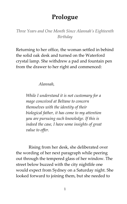### **Prologue**

*Three Years and One Month Since Alannah's Eighteenth Birthday*

Returning to her office, the woman settled in behind the solid oak desk and turned on the Waterford crystal lamp. She withdrew a pad and fountain pen from the drawer to her right and commenced:

#### *Alannah,*

*While I understand it is not customary for a mage conceived at Beltane to concern themselves with the identity of their biological father, it has come to my attention you are pursuing such knowledge. If this is indeed the case, I have some insights of great value to offer.* 

Rising from her desk, she deliberated over the wording of her next paragraph while peering out through the tempered glass of her window. The street below buzzed with the city nightlife one would expect from Sydney on a Saturday night. She looked forward to joining them, but she needed to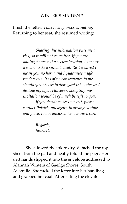finish the letter. *Time to stop procrastinating.* Returning to her seat, she resumed writing:

> *Sharing this information puts me at risk, so it will not come free. If you are willing to meet at a secure location, I am sure we can strike a suitable deal. Rest assured I mean you no harm and I guarantee a safe rendezvous. It is of no consequence to me should you choose to disregard this letter and decline my offer. However, accepting my invitation would be of much benefit to you. If you decide to seek me out, please contact Patrick, my agent, to arrange a time*

*and place. I have enclosed his business card.*

*Regards, Scarlett.* 

She allowed the ink to dry, detached the top sheet from the pad and neatly folded the page. Her deft hands slipped it into the envelope addressed to Alannah Winters of Gaeilge Shores, South Australia. She tucked the letter into her handbag and grabbed her coat. After riding the elevator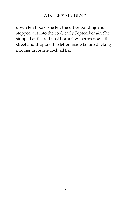down ten floors, she left the office building and stepped out into the cool, early September air. She stopped at the red post box a few metres down the street and dropped the letter inside before ducking into her favourite cocktail bar.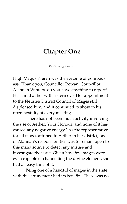### **Chapter One**

*Five Days later*

High Magus Kieran was the epitome of pompous ass. 'Thank you, Councillor Rowan. Councillor Alannah Winters, do you have anything to report?' He stared at her with a stern eye. Her appointment to the Fleurieu District Council of Mages still displeased him, and it continued to show in his open hostility at every meeting.

'There has not been much activity involving the use of Aether, Your Honour, and none of it has caused any negative energy.' As the representative for all mages attuned to Aether in her district, one of Alannah's responsibilities was to remain open to this mana source to detect any misuse and investigate the issue. Given how few mages were even capable of channelling the divine element, she had an easy time of it.

Being one of a handful of mages in the state with this attunement had its benefits. There was no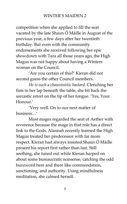competition when she applied to fill the seat vacated by the late Shaun Ó Máille in August of the previous year, a few days after her twentieth birthday. But even with the community endorsements she received following her epic showdown with Tara all those years ago, the High Magus was not happy about having a Winters woman on the Council.

'Are you certain of this?' Kieran did not second guess the other Council members.

*He is such a chauvinistic bastard.* Clenching her fists in her lap beneath the table, she bit back the sarcastic retort on the tip of her tongue. 'Yes, Your Honour.'

'Very well. On to our next matter of business…'

Most mages regarded the seat of Aether with reverence because the mage in that role has a direct link to the Gods. Alannah recently learned the High Magus treated her predecessor with far more respect. Kieran had always insisted Shaun Ó Máille present his report first rather than last. Still seething, she tuned out while Kieran harped on about some bureaucratic nonsense, catching the odd buzzword here and there like commendation, sanctioning, and authority. Using mindfulness meditation, she calmed herself.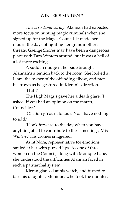*This is so damn boring.* Alannah had expected more focus on hunting magic criminals when she signed up for the Mages Council. It made her mourn the days of fighting her grandmother's threats. Gaeilge Shores may have been a dangerous place with Tara Winters around, but it was a hell of a lot more exciting.

A sudden nudge in her side brought Alannah's attention back to the room. She looked at Liam, the owner of the offending elbow, and met his frown as he gestured in Kieran's direction.

 $'H<sub>11</sub>h?'$ 

The High Magus gave her a death glare. 'I asked, if you had an opinion on the matter, Councillor.'

'Oh. Sorry Your Honour. No, I have nothing to add.'

'I look forward to the day when you have anything at all to contribute to these meetings, Miss *Winters*.' His cronies sniggered.

Aunt Nora, representative for emotions, smiled at her with pursed lips. As one of three women on the Council, along with Monique Lane, she understood the difficulties Alannah faced in such a patriarchal system.

Kieran glanced at his watch, and turned to face his daughter, Monique, who took the minutes.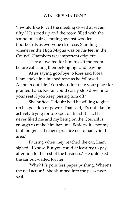'I would like to call the meeting closed at seven fifty.' He stood up and the room filled with the sound of chairs scraping against wooden floorboards as everyone else rose. Standing whenever the High Magus was on his feet in the Council Chambers was important etiquette.

They all waited for him to exit the room before collecting their belongings and leaving.

After saying goodbye to Ross and Nora, Liam spoke in a hushed tone as he followed Alannah outside. 'You shouldn't take your place for granted Lana. Kieran could easily step down into your seat if you keep pissing him off.'

She huffed. 'I doubt he'd be willing to give up his position of power. That said, it's not like I'm actively trying for top spot on his shit list. He's never liked me and my being on the Council is enough to make him hate me. Besides, it's not my fault bugger-all mages practice necromancy in this area.'

Pausing when they reached the car, Liam sighed. 'I know. But you could at least try to pay attention to the rest of the business.' He unlocked the car but waited for her.

'Why? It's pointless paper pushing. Where's the real action?' She slumped into the passenger seat.

7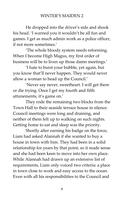He dropped into the driver's side and shook his head. 'I warned you it wouldn't be all fun and games. I get as much admin work as a police officer, if not more sometimes.'

'The whole bloody system needs reforming. When I become High Magus, my first order of business will be to liven up those damn meetings.'

'I hate to burst your bubble, yet again, but you know that'll never happen. They would never allow a woman to head up the Council.'

'Never say never, sweetheart. I will get there or die trying. Once I get my fourth and fifth attunements, it's game on.'

They rode the remaining two blocks from the Town Hall to their seaside terrace house in silence. Council meetings were long and draining, and neither of them felt up to walking on such nights. Getting home to eat and sleep was the priority.

Shortly after earning his badge on the force, Liam had asked Alannah if she wanted to buy a house in town with him. They had been in a solid relationship for years by that point, so it made sense and she had been keen to move into her own place. While Alannah had drawn up an extensive list of requirements, Liam only voiced two criteria: a place in town close to work and easy access to the ocean. Even with all his responsibilities to the Council and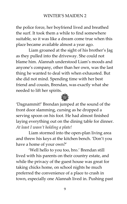the police force, her boyfriend lived and breathed the surf. It took them a while to find somewhere suitable, so it was like a dream come true when this place became available almost a year ago.

Liam groaned at the sight of his brother's Jag as they pulled into the driveway. She could not blame him. Alannah understood Liam's moods and anyone's company, other than her own, was the last thing he wanted to deal with when exhausted. But she did not mind. Spending time with her best friend and cousin, Brendan, was exactly what she needed to lift her spirits.



'Dagnammit!' Brendan jumped at the sound of the front door slamming, cursing as he dropped a serving spoon on his foot. He had almost finished laying everything out on the dining table for dinner. *At least I wasn't holding a plate!*

Liam stormed into the open-plan living area and threw his keys at the kitchen bench. 'Don't you have a home of your own?'

'Well hello to you too, bro.' Brendan still lived with his parents on their country estate, and while the privacy of the guest house was great for taking chicks home, on school nights he much preferred the convenience of a place to crash in town, especially one Alannah lived in. Pushing past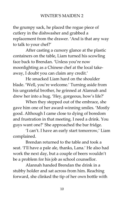the grumpy sack, he placed the rogue piece of cutlery in the dishwasher and grabbed a replacement from the drawer. 'And is that any way to talk to your chef?'

After casting a cursory glance at the plastic containers on the table, Liam turned his scowling face back to Brendan. 'Unless you're now moonlighting as a Chinese chef at the local takeaway, I doubt you can claim any credit.'

He smacked Liam hard on the shoulder blade. 'Well, you're welcome.' Turning aside from his ungrateful brother, he grinned at Alannah and drew her into a hug. 'Hey, gorgeous, how's life?'

When they stepped out of the embrace, she gave him one of her award-winning smiles. 'Mostly good. Although I came close to dying of boredom and frustration in that meeting. I need a drink. You guys want one?' She approached the bar fridge.

'I can't. I have an early start tomorrow,' Liam complained.

Brendan returned to the table and took a seat. 'I'll have a pale ale, thanks, Lana.' He also had work the next day, but a couple of beers wouldn't be a problem for his job as school counsellor.

Alannah handed Brendan the drink in a stubby holder and sat across from him. Reaching forward, she clinked the tip of her own bottle with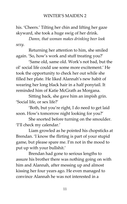his. 'Cheers.' Tilting her chin and lifting her gaze skyward, she took a huge swig of her drink.

*Damn, that woman makes drinking beer look sexy.*

Returning her attention to him, she smiled again. 'So, how's work and stuff treating you?'

'Same old, same old. Work's not bad, but the ol' social life could use some more excitement.' He took the opportunity to check her out while she filled her plate. He liked Alannah's new habit of wearing her long black hair in a half ponytail. It reminded him of Katie McGrath as Morgana.

Sitting back, she gave him an impish grin. 'Social life, or sex life?'

'Both, but you're right, I do need to get laid soon. How's tomorrow night looking for you?'

She snorted before turning on the smoulder. 'I'll check my calendar.'

Liam growled as he pointed his chopsticks at Brendan. 'I know the flirting is part of your stupid game, but please spare me. I'm not in the mood to put up with your bullshit.'

Brendan had gone to serious lengths to assure his brother there was nothing going on with him and Alannah, after messing up and almost kissing her four years ago. He even managed to convince Alannah he was not interested in a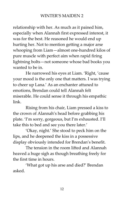relationship with her. As much as it pained him, especially when Alannah first expressed interest, it was for the best. He reasoned he would end up hurting her. Not to mention getting a major arse whooping from Liam—almost one-hundred kilos of pure muscle with perfect aim when rapid firing lightning bolts—not someone whose bad books you wanted to be in.

He narrowed his eyes at Liam. 'Right, 'cause your mood is the only one that matters. I was trying to cheer up Lana.' As an enchanter attuned to emotions, Brendan could tell Alannah felt miserable. He could sense it through his empathic link.

Rising from his chair, Liam pressed a kiss to the crown of Alannah's head before grabbing his plate. 'I'm sorry, gorgeous, but I'm exhausted. I'll take this to bed and see you there later.'

'Okay, night.' She stood to peck him on the lips, and he deepened the kiss in a possessive display obviously intended for Brendan's benefit.

The tension in the room lifted and Alannah heaved a huge sigh as though breathing freely for the first time in hours.

'What got up his arse and died?' Brendan asked.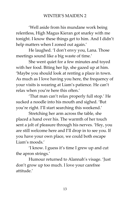'Well aside from his mundane work being relentless, High Magus Kieran got snarky with me tonight. I know these things get to him. And I didn't help matters when I zoned out again.'

He laughed. 'I don't envy you, Lana. Those meetings sound like a big waste of time.'

She went quiet for a few minutes and toyed with her food. Biting her lip, she gazed up at him. 'Maybe you should look at renting a place in town. As much as I love having you here, the frequency of your visits is wearing at Liam's patience. He can't relax when you're here this often.'

'That man can't relax properly full stop.' He sucked a noodle into his mouth and sighed. 'But you're right. I'll start searching this weekend.'

Stretching her arm across the table, she placed a hand over his. The warmth of her touch sent a jolt of pleasure through his nerves. 'Hey, you are still welcome here and I'll drop in to see you. If you have your own place, we could both escape Liam's moods'

'I know. I guess it's time I grew up and cut the apron strings.'

Humour returned to Alannah's visage. 'Just don't grow up too much. I love your carefree attitude.'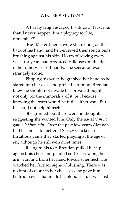A hearty laugh escaped his throat. 'Trust me, that'll never happen. I'm a playboy for life, remember?'

'Right.' Her fingers were still resting on the back of his hand, and he perceived their rough pads brushing against his skin. Hours of sewing every week for years had produced callouses on the tips of her otherwise soft hands. The sensation was strangely erotic.

Flipping his wrist, he grabbed her hand as he stared into her eyes and probed her mind. Brendan knew he should not invade her private thoughts, not only for the immorality of it, but because knowing the truth would be futile either way. But he could not help himself.

She grinned, but there were no thoughts suggesting she wanted him. Only the usual '*I'm not gonna let him win.*' Over the past few years Alannah had become a lot better at Sleazy Chicken, a flirtatious game they started playing at the age of six, although he still won most times.

Rising to his feet, Brendan pulled her up against his chest and planted soft kisses along her arm, running from her hand towards her neck. He watched her face for signs of blushing. There was no hint of colour in her cheeks as she gave him bedroom eyes that made his blood rush. It was just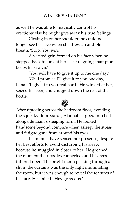as well he was able to magically control his erections; else he might give away his true feelings.

Closing in on her shoulder, he could no longer see her face when she drew an audible breath. 'Stop. You win.'

A wicked grin formed on his face when he stepped back to look at her. 'The reigning champion keeps his crown.'

'You will have to give it up to me one day.'

'Oh, I promise I'll give it to you one day, Lana. I'll give it to you real hard.' He winked at her, seized his beer, and chugged down the rest of the bottle.



After tiptoeing across the bedroom floor, avoiding the squeaky floorboards, Alannah slipped into bed alongside Liam's sleeping form. He looked handsome beyond compare when asleep, the stress and fatigue gone from around his eyes.

Liam must have sensed her presence, despite her best efforts to avoid disturbing his sleep, because he snuggled in closer to her. He groaned the moment their bodies connected, and his eyes flittered open. The bright moon peeking through a slit in the curtains was the only light illuminating the room, but it was enough to reveal the features of his face. He smiled. 'Hey gorgeous.'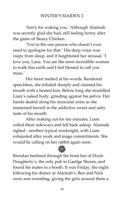'Sorry for waking you.' Although Alannah was secretly glad she had, still feeling horny after the game of Sleazy Chicken.

'You're the one person who doesn't ever need to apologise for that.' His deep voice was raspy from sleep, and it heightened her arousal. 'I love you, Lana. You are the most incredible woman to walk this earth and I feel blessed to call you mine'

Her heart melted at his words. Rendered speechless, she inhaled sharply and claimed his mouth with a heated kiss. Before long she straddled Liam's naked body, grinding against his pelvis. Her hands skated along his muscular arms as she immersed herself in the addictive sweet and salty taste of his mouth.

After making out for ten minutes, Liam rolled them sideways and fell back asleep. Alannah sighed - another typical weeknight, with Liam exhausted after work and mage commitments. She would be calling on her rabbit again soon.

Brendan beelined through the front bar of Doyle Dougherty's, the only pub in Gaeilge Shores, and found his mates in a booth. It was Friday, the night following his dinner at Alannah's. Ben and Nick were arm wrestling, giving the girls around them a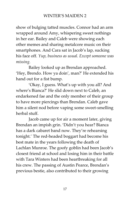show of bulging tatted muscles. Connor had an arm wrapped around Amy, whispering sweet nothings in her ear. Bailey and Caleb were showing each other memes and sharing metalcore music on their smartphones. And Cara sat in Jacob's lap, sucking his face off. *Yup, business as usual. Except someone was missing.*

Bailey looked up as Brendan approached. 'Hey, Brendo. How ya doin', man?' He extended his hand out for a fist bump.

'Okay, I guess. What's up with you all? And where's Bianca?' He slid down next to Caleb, an endarkened fae and the only member of their group to have more piercings than Brendan. Caleb gave him a silent nod before vaping some sweet-smelling herbal stuff.

Jacob came up for air a moment later, giving Brendan an impish grin. 'Didn't you hear? Bianca has a dark cabaret band now. They're rehearsing tonight.' The red-headed boggart had become his best mate in the years following the death of Lachlan Munroe. The goofy goblin had been Jacob's closest friend at school and losing him in their battle with Tara Winters had been heartbreaking for all his crew. The passing of Austin Pearce, Brendan's previous bestie, also contributed to their growing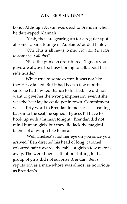bond. Although Austin was dead to Brendan when he date-raped Alannah.

'Yeah, they are gearing up for a regular spot at some cabaret lounge in Adelaide,' added Bailey.

'Oh? This is all news to me.' *How am I the last to hear about all this?*

Nick, the punkish orc, tittered. 'I guess you guys are always too busy boning to talk about her side hustle.'

While true to some extent, it was not like they *never* talked. But it had been a few months since he had invited Bianca to his bed. He did not want to give her the wrong impression, even if she was the best lay he could get in town. Commitment was a dirty word to Brendan in most cases. Leaning back into the seat, he sighed. 'I guess I'll have to hook up with a human tonight.' Brendan did not mind human girls, but they did lack the magical talents of a nymph like Bianca.

'Well Chelsea's had her eye on you since you arrived.' Ben directed his head of long, caramel coloured hair towards the table of girls a few metres away. The weredingo's attention shifting to that group of girls did not surprise Brendan. Ben's reputation as a man-whore was almost as notorious as Brendan's.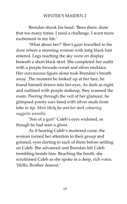Brendan shook his head. 'Been there, done that too many times. I need a challenge. I want more excitement in my life.'

'What about her?' Ben's gaze travelled to the door where a stunning woman with long black hair entered. Legs reaching the sky were on display beneath a short black skirt. She completed her outfit with a purple brocade corset and silver necklace. Her curvaceous figure alone took Brendan's breath away. The moment he looked up at her face, he found himself drawn into her eyes. As dark as night and outlined with purple makeup, they scanned the room. Peering through the veil of her glamour, he glimpsed pointy ears lined with silver studs from lobe to tip. *Most likely fae and her dark colouring suggests unseelie.*

'Son of a gun!' Caleb's eyes widened, as though he had seen a ghost.

As if hearing Caleb's muttered curse, the woman turned her attention to their group and grinned, eyes darting to each of them before settling on Caleb. She advanced and Brendan felt Caleb trembling beside him. Reaching the booth, she scrutinised Caleb as she spoke in a deep, rich voice, 'Hello, Brother dearest.'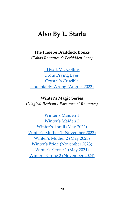### **Also By L. Starla**

#### **The Phoebe Braddock Books**

*(Taboo Romance & Forbidden Love)*

[I Heart Mr. Collins](https://books2read.com/u/mdnBVZ) [From Prying Eyes](https://books2read.com/u/47l9e7) [Crystal's Crucible](https://books2read.com/u/bPXPkJ) [Undeniably Wrong \(August 2022\)](https://books2read.com/UndeniablyWrong)

**Winter's Magic Series** *(Magical Realism / Paranormal Romance)*

[Winter's Maiden 1](https://books2read.com/u/3LY7k0) [Winter's Maiden 2](https://books2read.com/u/m2Mw0r) [Winter's Thrall \(May 2022\)](https://www.goodreads.com/book/show/55473708-winter-s-thrall) [Winter's Mother 1](https://www.goodreads.com/book/show/55658025-winter-s-mother-1) (November 2022) [Winter's Mother 2 \(May 2023\)](https://www.goodreads.com/book/show/55809439-winter-s-mother-2) [Winter's Bride \(November 2023\)](https://www.goodreads.com/book/show/55817503-winter-s-bride) [Winter's Crone 1 \(May 2024\)](https://www.goodreads.com/book/show/55817639-winter-s-crone-1) [Winter's Crone 2 \(November 2024\)](https://www.goodreads.com/book/show/55817641-winter-s-crone-2)